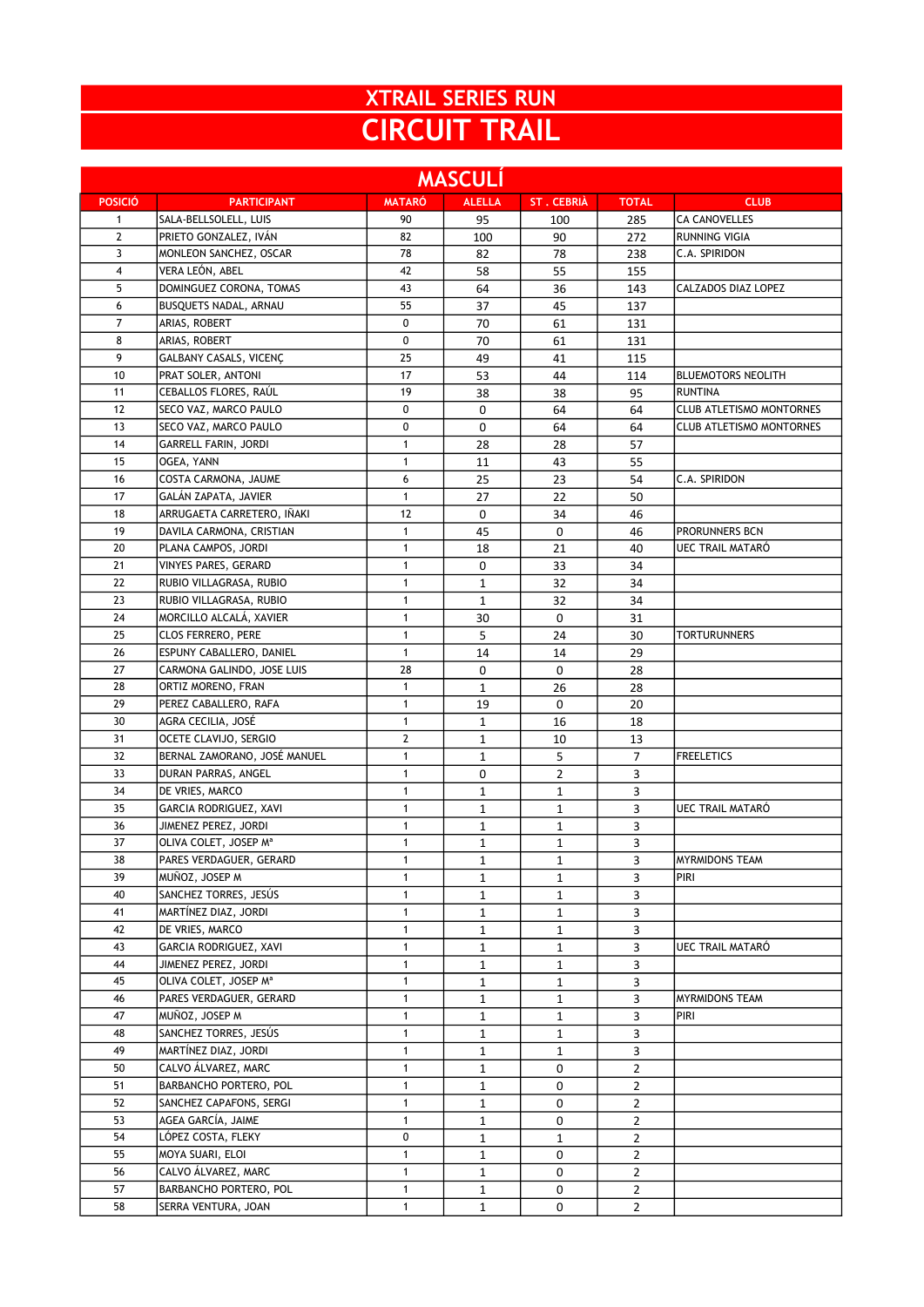## XTRAIL SERIES RUN CIRCUIT TRAIL

| <b>MASCULÍ</b> |                                           |                              |                              |                             |                |                                 |  |
|----------------|-------------------------------------------|------------------------------|------------------------------|-----------------------------|----------------|---------------------------------|--|
| <b>POSICIÓ</b> | <b>PARTICIPANT</b>                        | <b>MATARÓ</b>                | <b>ALELLA</b>                | <b>ST. CEBRIÀ</b>           | <b>TOTAL</b>   | <b>CLUB</b>                     |  |
| $\mathbf{1}$   | SALA-BELLSOLELL, LUIS                     | 90                           | 95                           | 100                         | 285            | <b>CA CANOVELLES</b>            |  |
| $\overline{2}$ | PRIETO GONZALEZ, IVÁN                     | 82                           | 100                          | 90                          | 272            | <b>RUNNING VIGIA</b>            |  |
| 3              | MONLEON SANCHEZ, OSCAR                    | 78                           | 82                           | 78                          | 238            | C.A. SPIRIDON                   |  |
| 4              | VERA LEÓN, ABEL                           | 42                           | 58                           | 55                          | 155            |                                 |  |
| 5              | DOMINGUEZ CORONA, TOMAS                   | 43                           | 64                           | 36                          | 143            | CALZADOS DIAZ LOPEZ             |  |
| 6              | BUSQUETS NADAL, ARNAU                     | 55                           | 37                           | 45                          | 137            |                                 |  |
| 7              | ARIAS, ROBERT                             | 0                            | 70                           | 61                          | 131            |                                 |  |
| 8              | ARIAS, ROBERT                             | $\mathbf 0$                  | 70                           | 61                          | 131            |                                 |  |
| 9              | GALBANY CASALS, VICENÇ                    | 25                           | 49                           | 41                          | 115            |                                 |  |
| 10             | PRAT SOLER, ANTONI                        | 17                           | 53                           | 44                          | 114            | <b>BLUEMOTORS NEOLITH</b>       |  |
| 11             | CEBALLOS FLORES, RAÚL                     | 19                           | 38                           | 38                          | 95             | <b>RUNTINA</b>                  |  |
| 12             | SECO VAZ, MARCO PAULO                     | 0                            | 0                            | 64                          | 64             | <b>CLUB ATLETISMO MONTORNES</b> |  |
| 13             | SECO VAZ, MARCO PAULO                     | 0                            | 0                            | 64                          | 64             | <b>CLUB ATLETISMO MONTORNES</b> |  |
| 14             | <b>GARRELL FARIN, JORDI</b>               | $\mathbf{1}$                 | 28                           | 28                          | 57             |                                 |  |
| 15             | OGEA, YANN                                | $\mathbf{1}$                 | 11                           | 43                          | 55             |                                 |  |
| 16             | COSTA CARMONA, JAUME                      | 6                            | 25                           | 23                          | 54             | C.A. SPIRIDON                   |  |
| 17             | GALÁN ZAPATA, JAVIER                      | $\mathbf{1}$                 | 27                           | 22                          | 50             |                                 |  |
| 18             | ARRUGAETA CARRETERO, IÑAKI                | 12                           | 0                            | 34                          | 46             |                                 |  |
| 19             | DAVILA CARMONA, CRISTIAN                  | $\mathbf{1}$                 | 45                           | 0                           | 46             | PRORUNNERS BCN                  |  |
| 20             | PLANA CAMPOS, JORDI                       | $\mathbf{1}$                 | 18                           | 21                          | 40             | UEC TRAIL MATARÓ                |  |
| 21             | VINYES PARES, GERARD                      | $\mathbf{1}$                 | 0                            | 33                          | 34             |                                 |  |
| 22             | RUBIO VILLAGRASA, RUBIO                   | $\mathbf{1}$                 | $\mathbf{1}$                 | 32                          | 34             |                                 |  |
| 23             | RUBIO VILLAGRASA, RUBIO                   | $\mathbf{1}$                 | $\mathbf{1}$                 | 32                          | 34             |                                 |  |
| 24             | MORCILLO ALCALÁ, XAVIER                   | $\mathbf{1}$                 | 30                           | 0                           | 31             |                                 |  |
| 25             | CLOS FERRERO, PERE                        | $\mathbf{1}$                 | 5                            | 24                          | 30             | <b>TORTURUNNERS</b>             |  |
| 26             | ESPUNY CABALLERO, DANIEL                  | $\mathbf{1}$                 | 14                           | 14                          | 29             |                                 |  |
| 27             | CARMONA GALINDO, JOSE LUIS                | 28                           | 0                            | 0                           | 28             |                                 |  |
| 28             | ORTIZ MORENO, FRAN                        | $\mathbf{1}$                 | $\mathbf{1}$                 | 26                          | 28             |                                 |  |
| 29             | PEREZ CABALLERO, RAFA                     | $\mathbf{1}$                 | 19                           | 0                           | 20             |                                 |  |
| 30             | AGRA CECILIA, JOSÉ                        | $\mathbf{1}$                 | $\mathbf 1$                  | 16                          | 18             |                                 |  |
| 31             | OCETE CLAVIJO, SERGIO                     | $\mathbf{2}$                 | $\mathbf 1$                  | 10                          | 13             |                                 |  |
| 32             | BERNAL ZAMORANO, JOSÉ MANUEL              | $\mathbf{1}$                 | 1                            | 5                           | 7              | <b>FREELETICS</b>               |  |
| 33             | DURAN PARRAS, ANGEL                       | $\mathbf{1}$                 | 0                            | $\overline{2}$              | 3              |                                 |  |
| 34<br>35       | DE VRIES, MARCO<br>GARCIA RODRIGUEZ, XAVI | $\mathbf{1}$<br>$\mathbf{1}$ | $\mathbf{1}$                 | 1                           | 3              |                                 |  |
| 36             | JIMENEZ PEREZ, JORDI                      | $\mathbf{1}$                 | $\mathbf{1}$<br>$\mathbf{1}$ | $\mathbf 1$<br>$\mathbf{1}$ | 3<br>3         | UEC TRAIL MATARÓ                |  |
| 37             | OLIVA COLET, JOSEP M <sup>a</sup>         | $\mathbf{1}$                 | 1                            | 1                           | 3              |                                 |  |
| 38             | PARES VERDAGUER, GERARD                   | $\mathbf{1}$                 |                              |                             | 3              | <b>MYRMIDONS TEAM</b>           |  |
| 39             | MUÑOZ, JOSEP M                            | $\mathbf{1}$                 | $\mathbf{1}$<br>1            | $\mathbf 1$<br>1            | 3              | PIRI                            |  |
| 40             | SANCHEZ TORRES, JESÚS                     | $\mathbf{1}$                 | 1                            | 1                           | 3              |                                 |  |
| 41             | MARTÍNEZ DIAZ, JORDI                      | $\mathbf{1}$                 | $\mathbf{1}$                 | 1                           | 3              |                                 |  |
| 42             | DE VRIES, MARCO                           | $\mathbf{1}$                 | $\mathbf{1}$                 | 1                           | 3              |                                 |  |
| 43             | GARCIA RODRIGUEZ, XAVI                    | $\mathbf{1}$                 | $\mathbf{1}$                 | $\mathbf{1}$                | 3              | UEC TRAIL MATARÓ                |  |
| 44             | JIMENEZ PEREZ, JORDI                      | $\mathbf{1}$                 | 1                            | $\mathbf{1}$                | 3              |                                 |  |
| 45             | OLIVA COLET, JOSEP Mª                     | $\mathbf{1}$                 | $\mathbf 1$                  | $\mathbf{1}$                | 3              |                                 |  |
| 46             | PARES VERDAGUER, GERARD                   | $\mathbf{1}$                 | $\mathbf{1}$                 | 1                           | 3              | <b>MYRMIDONS TEAM</b>           |  |
| 47             | MUÑOZ, JOSEP M                            | $\mathbf{1}$                 | 1                            | 1                           | 3              | PIRI                            |  |
| 48             | SANCHEZ TORRES, JESÚS                     | $\mathbf{1}$                 | $\mathbf{1}$                 | 1                           | 3              |                                 |  |
| 49             | MARTÍNEZ DIAZ, JORDI                      | $\mathbf{1}$                 | 1                            | 1                           | 3              |                                 |  |
| 50             | CALVO ÁLVAREZ, MARC                       | $\mathbf{1}$                 | $\mathbf{1}$                 | 0                           | $\overline{2}$ |                                 |  |
| 51             | BARBANCHO PORTERO, POL                    | $\mathbf{1}$                 | 1                            | 0                           | $\overline{2}$ |                                 |  |
| 52             | SANCHEZ CAPAFONS, SERGI                   | $\mathbf{1}$                 | $\mathbf{1}$                 | 0                           | $\overline{2}$ |                                 |  |
| 53             | AGEA GARCÍA, JAIME                        | $\mathbf{1}$                 | 1                            | 0                           | $\overline{2}$ |                                 |  |
| 54             | LÓPEZ COSTA, FLEKY                        | 0                            | $\mathbf{1}$                 | 1                           | $\overline{2}$ |                                 |  |
| 55             | MOYA SUARI, ELOI                          | 1                            | 1                            | 0                           | $\overline{2}$ |                                 |  |
| 56             | CALVO ÁLVAREZ, MARC                       | $\mathbf{1}$                 | $\mathbf{1}$                 | 0                           | $\overline{2}$ |                                 |  |
| 57             | BARBANCHO PORTERO, POL                    | $\mathbf{1}$                 | $\mathbf{1}$                 | 0                           | $\overline{2}$ |                                 |  |
| 58             | SERRA VENTURA, JOAN                       | $\mathbf{1}$                 | $\mathbf{1}$                 | 0                           | $\overline{2}$ |                                 |  |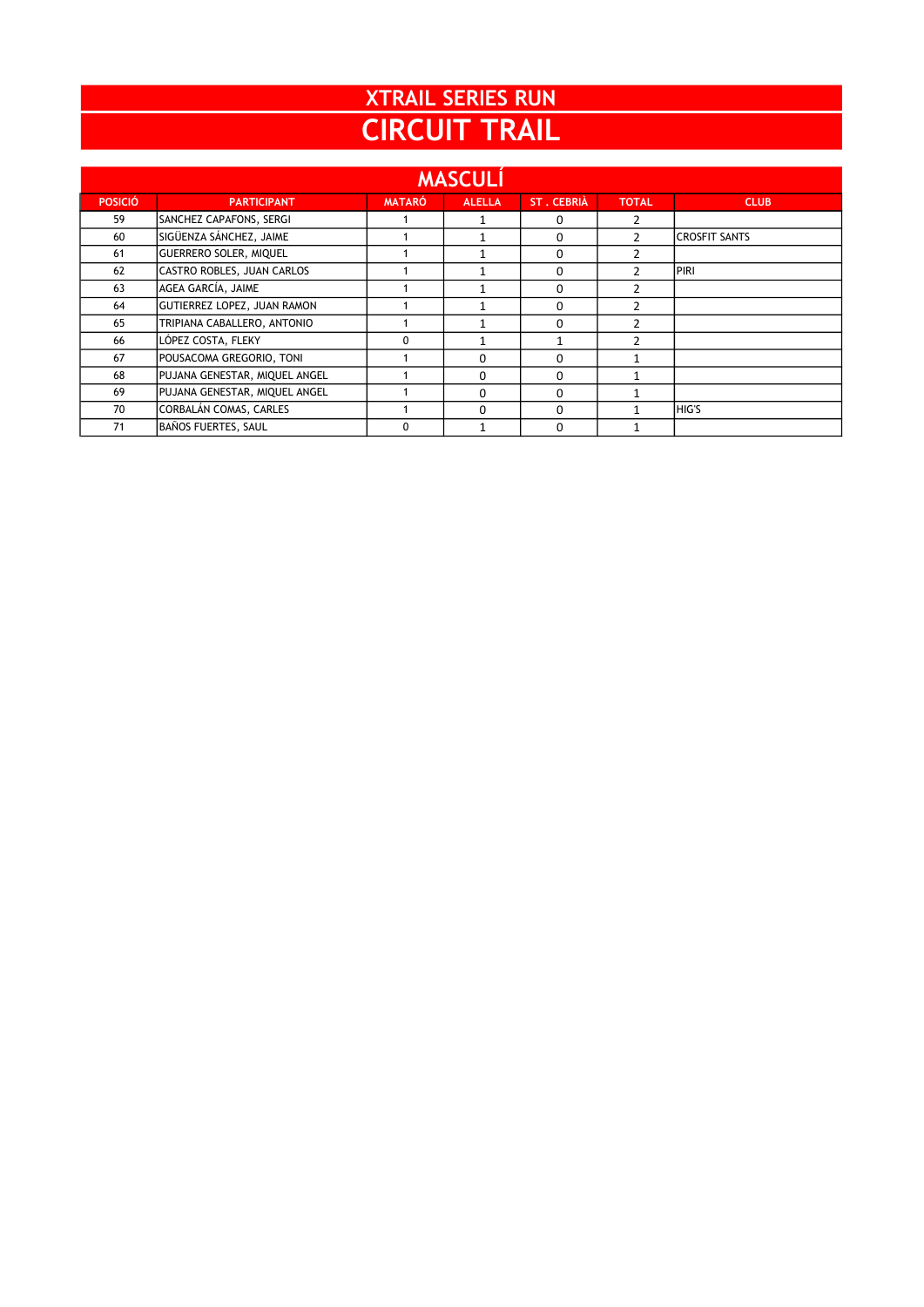| <b>XTRAIL SERIES RUN</b> |
|--------------------------|
| <b>CIRCUIT TRAIL</b>     |

| <b>MASCULÍ</b> |                               |               |               |                   |                |                      |  |
|----------------|-------------------------------|---------------|---------------|-------------------|----------------|----------------------|--|
| <b>POSICIÓ</b> | <b>PARTICIPANT</b>            | <b>MATARÓ</b> | <b>ALELLA</b> | <b>ST. CEBRIÀ</b> | <b>TOTAL</b>   | <b>CLUB</b>          |  |
| 59             | SANCHEZ CAPAFONS, SERGI       |               |               | 0                 | 2              |                      |  |
| 60             | SIGÜENZA SÁNCHEZ, JAIME       |               |               | 0                 | $\mathcal{P}$  | <b>CROSFIT SANTS</b> |  |
| 61             | <b>GUERRERO SOLER, MIQUEL</b> |               |               | 0                 | $\mathcal{P}$  |                      |  |
| 62             | CASTRO ROBLES, JUAN CARLOS    |               |               | 0                 | $\mathfrak z$  | PIRI                 |  |
| 63             | AGEA GARCÍA, JAIME            |               |               | 0                 | $\mathfrak{p}$ |                      |  |
| 64             | GUTIERREZ LOPEZ, JUAN RAMON   |               |               | 0                 | $\mathcal{P}$  |                      |  |
| 65             | TRIPIANA CABALLERO, ANTONIO   |               |               | 0                 | $\mathcal{P}$  |                      |  |
| 66             | LÓPEZ COSTA, FLEKY            | 0             | 1             |                   | $\mathfrak{p}$ |                      |  |
| 67             | POUSACOMA GREGORIO, TONI      |               | $\Omega$      | 0                 |                |                      |  |
| 68             | PUJANA GENESTAR, MIQUEL ANGEL |               | $\Omega$      | 0                 |                |                      |  |
| 69             | PUJANA GENESTAR, MIQUEL ANGEL |               | 0             | 0                 | 1              |                      |  |
| 70             | CORBALÁN COMAS, CARLES        |               | $\Omega$      | 0                 |                | <b>HIG'S</b>         |  |
| 71             | BAÑOS FUERTES, SAUL           | 0             | 1             | 0                 |                |                      |  |